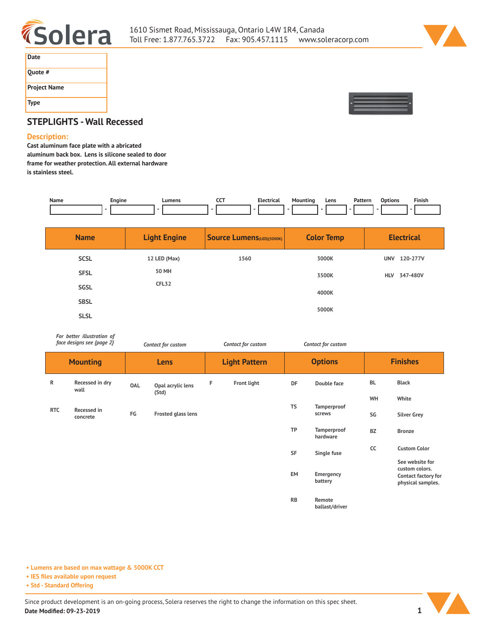



| Date                |
|---------------------|
| Quote #             |
| <b>Project Name</b> |
| Type                |



# **STEPLIGHTS - Wall Recessed**

#### **Description:**

**Cast aluminum face plate with a abricated aluminum back box. Lens is silicone sealed to door frame for weather protection. All external hardware is stainless steel.** 

| Name | Engine<br>__ | Lumens | ---<br>$ -$ | ·lectrical | . Jour<br> | Lens<br>$- - - -$ | Patterr<br>. | tions | $- \cdot$ $-$<br>Finisl |
|------|--------------|--------|-------------|------------|------------|-------------------|--------------|-------|-------------------------|
|      |              |        |             |            |            |                   |              |       |                         |

| <b>Name</b> | <b>Light Engine</b> | <b>Source Lumens</b> (LED)(5000K) | <b>Color Temp</b> | <b>Electrical</b>      |
|-------------|---------------------|-----------------------------------|-------------------|------------------------|
| <b>SCSL</b> | 12 LED (Max)        | 1560                              | 3000K             | 120-277V<br><b>UNV</b> |
| <b>SFSL</b> | 50 MH               |                                   | 3500K             | 347-480V<br><b>HLV</b> |
| <b>SGSL</b> | CFL <sub>32</sub>   |                                   | 4000K             |                        |
| <b>SBSL</b> |                     |                                   |                   |                        |
| <b>SLSL</b> |                     |                                   | 5000K             |                        |

*For better illustration of face designs see {page 2}*

| face designs see {page 2} |                         | Contact for custom |                            |                      | Contact for custom |                | Contact for custom      |                 |                                                                                      |
|---------------------------|-------------------------|--------------------|----------------------------|----------------------|--------------------|----------------|-------------------------|-----------------|--------------------------------------------------------------------------------------|
| <b>Mounting</b>           |                         | <b>Lens</b>        |                            | <b>Light Pattern</b> |                    | <b>Options</b> |                         | <b>Finishes</b> |                                                                                      |
| $\mathsf{R}$              | Recessed in dry<br>wall | OAL                | Opal acrylic lens<br>(Std) | F                    | Front light        | DF             | Double face             | BL              | <b>Black</b>                                                                         |
|                           |                         |                    |                            |                      |                    | <b>TS</b>      | Tamperproof             | WH              | White                                                                                |
| <b>RTC</b>                | Recessed in<br>concrete | FG                 | Frosted glass lens         |                      |                    |                | screws                  | SG              | <b>Silver Grey</b>                                                                   |
|                           |                         |                    |                            |                      |                    | <b>TP</b>      | Tamperproof<br>hardware | BZ              | <b>Bronze</b>                                                                        |
|                           |                         |                    |                            |                      |                    | SF             | Single fuse             | cc              | <b>Custom Color</b>                                                                  |
|                           |                         |                    |                            |                      |                    | <b>EM</b>      | Emergency<br>battery    |                 | See website for<br>custom colors.<br><b>Contact factory for</b><br>physical samples. |
|                           |                         |                    |                            |                      |                    | <b>RB</b>      | Remote                  |                 |                                                                                      |

**ballast/driver**

**• Lumens are based on max wattage & 5000K CCT**

**• IES files available upon request**

**• Std - Standard Offering**